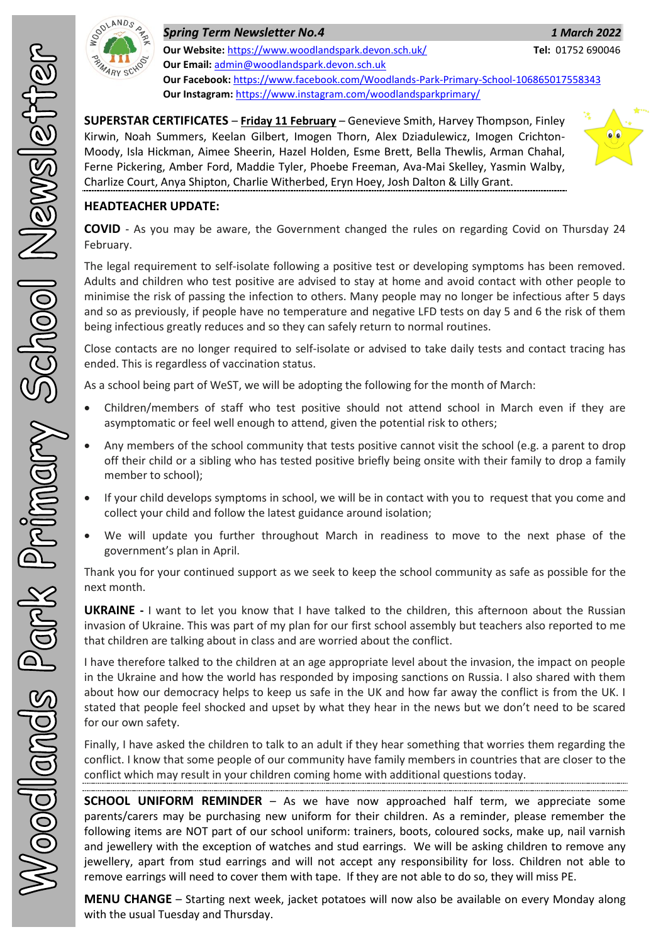

| <b>Spring Term Newsletter No.4</b>                                                   | 1 March 2022      |
|--------------------------------------------------------------------------------------|-------------------|
| Our Website: https://www.woodlandspark.devon.sch.uk/                                 | Tel: 01752 690046 |
| <b>Our Email: admin@woodlandspark.devon.sch.uk</b>                                   |                   |
| Our Facebook: https://www.facebook.com/Woodlands-Park-Primary-School-106865017558343 |                   |
| Our Instagram: https://www.instagram.com/woodlandsparkprimary/                       |                   |

**SUPERSTAR CERTIFICATES** – **Friday 11 February** – Genevieve Smith, Harvey Thompson, Finley Kirwin, Noah Summers, Keelan Gilbert, Imogen Thorn, Alex Dziadulewicz, Imogen Crichton-Moody, Isla Hickman, Aimee Sheerin, Hazel Holden, Esme Brett, Bella Thewlis, Arman Chahal, Ferne Pickering, Amber Ford, Maddie Tyler, Phoebe Freeman, Ava-Mai Skelley, Yasmin Walby, Charlize Court, Anya Shipton, Charlie Witherbed, Eryn Hoey, Josh Dalton & Lilly Grant.



## **HEADTEACHER UPDATE:**

**COVID** - As you may be aware, the Government changed the rules on regarding Covid on Thursday 24 February.

The legal requirement to self-isolate following a positive test or developing symptoms has been removed. Adults and children who test positive are advised to stay at home and avoid contact with other people to minimise the risk of passing the infection to others. Many people may no longer be infectious after 5 days and so as previously, if people have no temperature and negative LFD tests on day 5 and 6 the risk of them being infectious greatly reduces and so they can safely return to normal routines.

Close contacts are no longer required to self-isolate or advised to take daily tests and contact tracing has ended. This is regardless of vaccination status.

As a school being part of WeST, we will be adopting the following for the month of March:

- Children/members of staff who test positive should not attend school in March even if they are asymptomatic or feel well enough to attend, given the potential risk to others;
- Any members of the school community that tests positive cannot visit the school (e.g. a parent to drop off their child or a sibling who has tested positive briefly being onsite with their family to drop a family member to school);
- If your child develops symptoms in school, we will be in contact with you to request that you come and collect your child and follow the latest guidance around isolation;
- We will update you further throughout March in readiness to move to the next phase of the government's plan in April.

Thank you for your continued support as we seek to keep the school community as safe as possible for the next month.

**UKRAINE -** I want to let you know that I have talked to the children, this afternoon about the Russian invasion of Ukraine. This was part of my plan for our first school assembly but teachers also reported to me that children are talking about in class and are worried about the conflict.

I have therefore talked to the children at an age appropriate level about the invasion, the impact on people in the Ukraine and how the world has responded by imposing sanctions on Russia. I also shared with them about how our democracy helps to keep us safe in the UK and how far away the conflict is from the UK. I stated that people feel shocked and upset by what they hear in the news but we don't need to be scared for our own safety.

Finally, I have asked the children to talk to an adult if they hear something that worries them regarding the conflict. I know that some people of our community have family members in countries that are closer to the conflict which may result in your children coming home with additional questions today.

**SCHOOL UNIFORM REMINDER** – As we have now approached half term, we appreciate some parents/carers may be purchasing new uniform for their children. As a reminder, please remember the following items are NOT part of our school uniform: trainers, boots, coloured socks, make up, nail varnish and jewellery with the exception of watches and stud earrings. We will be asking children to remove any jewellery, apart from stud earrings and will not accept any responsibility for loss. Children not able to remove earrings will need to cover them with tape. If they are not able to do so, they will miss PE.

**MENU CHANGE** – Starting next week, jacket potatoes will now also be available on every Monday along with the usual Tuesday and Thursday.